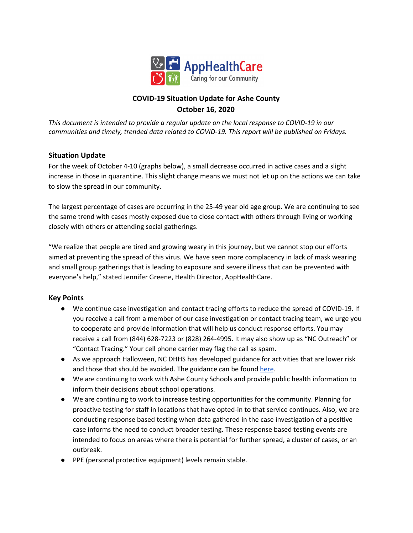

# **COVID-19 Situation Update for Ashe County October 16, 2020**

*This document is intended to provide a regular update on the local response to COVID-19 in our communities and timely, trended data related to COVID-19. This report will be published on Fridays.*

# **Situation Update**

For the week of October 4-10 (graphs below), a small decrease occurred in active cases and a slight increase in those in quarantine. This slight change means we must not let up on the actions we can take to slow the spread in our community.

The largest percentage of cases are occurring in the 25-49 year old age group. We are continuing to see the same trend with cases mostly exposed due to close contact with others through living or working closely with others or attending social gatherings.

"We realize that people are tired and growing weary in this journey, but we cannot stop our efforts aimed at preventing the spread of this virus. We have seen more complacency in lack of mask wearing and small group gatherings that is leading to exposure and severe illness that can be prevented with everyone's help," stated Jennifer Greene, Health Director, AppHealthCare.

# **Key Points**

- We continue case investigation and contact tracing efforts to reduce the spread of COVID-19. If you receive a call from a member of our case investigation or contact tracing team, we urge you to cooperate and provide information that will help us conduct response efforts. You may receive a call from (844) 628-7223 or (828) 264-4995. It may also show up as "NC Outreach" or "Contact Tracing." Your cell phone carrier may flag the call as spam.
- As we approach Halloween, NC DHHS has developed guidance for activities that are lower risk and those that should be avoided. The guidance can be found [here](https://files.nc.gov/covid/documents/guidance/NCDHHS-Interim-Guidance-for-Halloween.pdf).
- We are continuing to work with Ashe County Schools and provide public health information to inform their decisions about school operations.
- We are continuing to work to increase testing opportunities for the community. Planning for proactive testing for staff in locations that have opted-in to that service continues. Also, we are conducting response based testing when data gathered in the case investigation of a positive case informs the need to conduct broader testing. These response based testing events are intended to focus on areas where there is potential for further spread, a cluster of cases, or an outbreak.
- PPE (personal protective equipment) levels remain stable.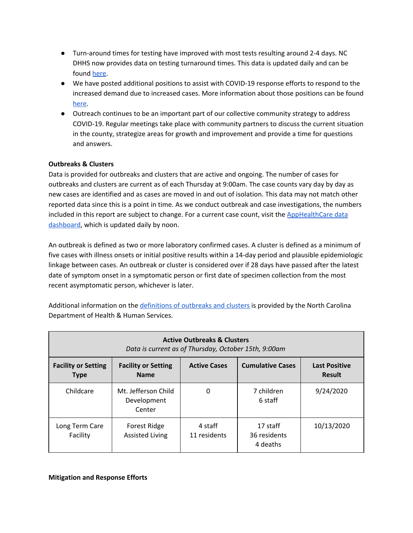- Turn-around times for testing have improved with most tests resulting around 2-4 days. NC DHHS now provides data on testing turnaround times. This data is updated daily and can be found [here.](https://covid19.ncdhhs.gov/dashboard/testing)
- We have posted additional positions to assist with COVID-19 response efforts to respond to the increased demand due to increased cases. More information about those positions can be found [here](https://www.apphealthcare.com/contact-us/career-opportunities/).
- Outreach continues to be an important part of our collective community strategy to address COVID-19. Regular meetings take place with community partners to discuss the current situation in the county, strategize areas for growth and improvement and provide a time for questions and answers.

# **Outbreaks & Clusters**

Data is provided for outbreaks and clusters that are active and ongoing. The number of cases for outbreaks and clusters are current as of each Thursday at 9:00am. The case counts vary day by day as new cases are identified and as cases are moved in and out of isolation. This data may not match other reported data since this is a point in time. As we conduct outbreak and case investigations, the numbers included in this report are subject to change. For a current case count, visit the [AppHealthCare](https://www.apphealthcare.com/covid-19-information/covid-19-data-dashboard/) data [dashboard](https://www.apphealthcare.com/covid-19-information/covid-19-data-dashboard/), which is updated daily by noon.

An outbreak is defined as two or more laboratory confirmed cases. A cluster is defined as a minimum of five cases with illness onsets or initial positive results within a 14-day period and plausible epidemiologic linkage between cases. An outbreak or cluster is considered over if 28 days have passed after the latest date of symptom onset in a symptomatic person or first date of specimen collection from the most recent asymptomatic person, whichever is later.

Additional information on the [definitions](https://epi.dph.ncdhhs.gov/cd/lhds/manuals/cd/coronavirus/COVID19%20Cluster%20Guidance%2005222020.pdf?ver=1.0) of outbreaks and clusters is provided by the North Carolina Department of Health & Human Services.

| <b>Active Outbreaks &amp; Clusters</b><br>Data is current as of Thursday, October 15th, 9:00am |                                              |                         |                                      |                                       |  |
|------------------------------------------------------------------------------------------------|----------------------------------------------|-------------------------|--------------------------------------|---------------------------------------|--|
| <b>Facility or Setting</b><br><b>Type</b>                                                      | <b>Facility or Setting</b><br><b>Name</b>    | <b>Active Cases</b>     | <b>Cumulative Cases</b>              | <b>Last Positive</b><br><b>Result</b> |  |
| Childcare                                                                                      | Mt. Jefferson Child<br>Development<br>Center | 0                       | 7 children<br>6 staff                | 9/24/2020                             |  |
| Long Term Care<br>Facility                                                                     | Forest Ridge<br><b>Assisted Living</b>       | 4 staff<br>11 residents | 17 staff<br>36 residents<br>4 deaths | 10/13/2020                            |  |

**Mitigation and Response Efforts**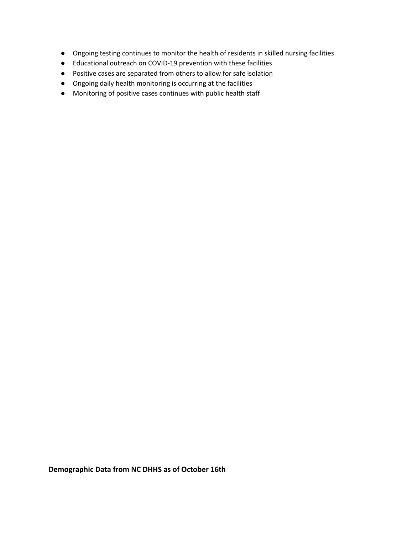- Ongoing testing continues to monitor the health of residents in skilled nursing facilities
- Educational outreach on COVID-19 prevention with these facilities
- Positive cases are separated from others to allow for safe isolation
- Ongoing daily health monitoring is occurring at the facilities
- Monitoring of positive cases continues with public health staff

**Demographic Data from NC DHHS as of October 16th**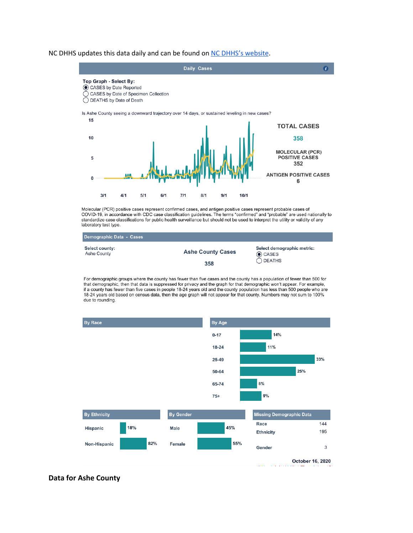#### NC DHHS updates this data daily and can be found on NC DHHS's [website](https://covid19.ncdhhs.gov/dashboard/cases).



Molecular (PCR) positive cases represent confirmed cases, and antigen positive cases represent probable cases of COVID-19, in accordance with CDC case classification guidelines. The terms "confirmed" and "probable" are used nationally to standardize case classifications for public health surveillance but should not be used to interpret the utility or validity of any laboratory test type.

| Demographic Data - Cases      |                          |                                             |
|-------------------------------|--------------------------|---------------------------------------------|
| Select county:<br>Ashe County | <b>Ashe County Cases</b> | Select demographic metric:<br>$\odot$ CASES |
|                               | 358                      | $\bigcap$ DEATHS                            |

For demographic groups where the county has fewer than five cases and the county has a population of fewer than 500 for that demographic, then that data is suppressed for privacy and the graph for that demographic won't appear. For example, if a county has fewer than five cases in people 18-24 years old and the county population has less than 500 people who are 18-24 years old based on census data, then the age graph will not appear for that county. Numbers may not sum to 100% due to rounding.



#### **Data for Ashe County**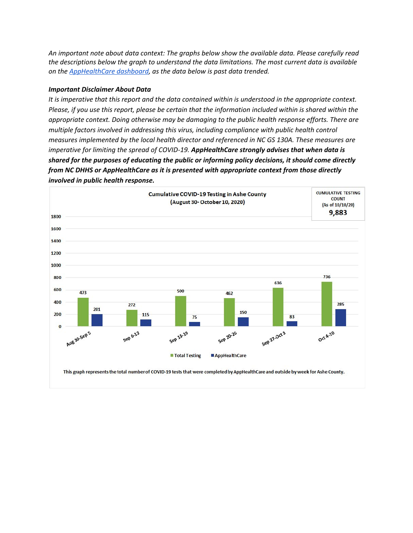*An important note about data context: The graphs below show the available data. Please carefully read the descriptions below the graph to understand the data limitations. The most current data is available on the [AppHealthCare](https://www.apphealthcare.com/covid-19-information/covid-19-data-dashboard/) dashboard, as the data below is past data trended.*

#### *Important Disclaimer About Data*

*It is imperative that this report and the data contained within is understood in the appropriate context.* Please, if you use this report, please be certain that the information included within is shared within the *appropriate context. Doing otherwise may be damaging to the public health response efforts. There are multiple factors involved in addressing this virus, including compliance with public health control measures implemented by the local health director and referenced in NC GS 130A. These measures are imperative for limiting the spread of COVID-19. AppHealthCare strongly advises that when data is shared for the purposes of educating the public or informing policy decisions, it should come directly from NC DHHS or AppHealthCare as it is presented with appropriate context from those directly involved in public health response.*

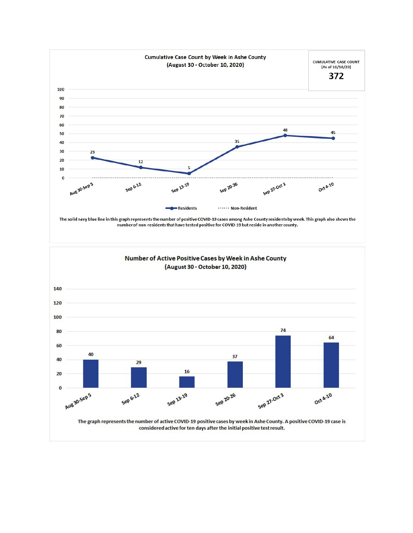

number of non-residents that have tested positive for COVID-19 but reside in another county.

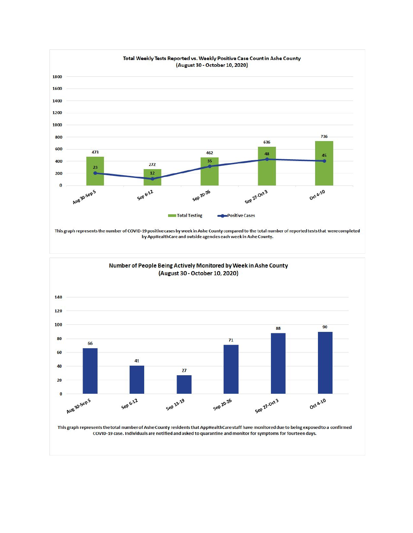





This graph represents the total number of Ashe County residents that AppHealthCare staff have monitored due to being exposed to a confirmed COVID-19 case. Individuals are notified and asked to quarantine and monitor for symptoms for fourteen days.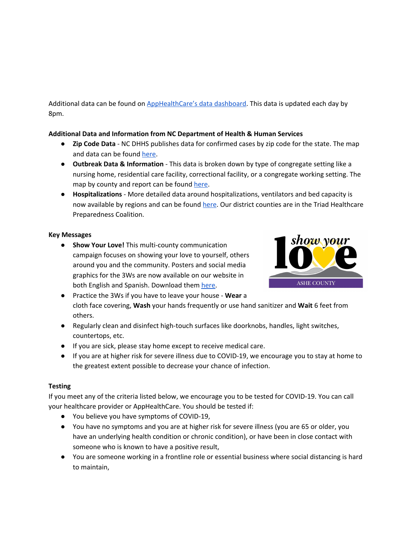Additional data can be found on [AppHealthCare's](https://www.apphealthcare.com/covid-19-information/covid-19-data-dashboard/) data dashboard. This data is updated each day by 8pm.

## **Additional Data and Information from NC Department of Health & Human Services**

- **Zip Code Data** NC DHHS publishes data for confirmed cases by zip code for the state. The map and data can be found [here](https://covid19.ncdhhs.gov/dashboard).
- **Outbreak Data & Information** This data is broken down by type of congregate setting like a nursing home, residential care facility, correctional facility, or a congregate working setting. The map by county and report can be found [here](https://covid19.ncdhhs.gov/dashboard/congregate-living-settings).
- **Hospitalizations** More detailed data around hospitalizations, ventilators and bed capacity is now available by regions and can be found [here](https://covid19.ncdhhs.gov/dashboard/hospitalizations). Our district counties are in the Triad Healthcare Preparedness Coalition.

## **Key Messages**

**● Show Your Love!** This multi-county communication campaign focuses on showing your love to yourself, others around you and the community. Posters and social media graphics for the 3Ws are now available on our website in both English and Spanish. Download them [here.](https://www.apphealthcare.com/show-your-love-campaign/)



- **●** Practice the 3Ws if you have to leave your house **Wear** a cloth face covering, **Wash** your hands frequently or use hand sanitizer and **Wait** 6 feet from others.
- Regularly clean and disinfect high-touch surfaces like doorknobs, handles, light switches, countertops, etc.
- If you are sick, please stay home except to receive medical care.
- If you are at higher risk for severe illness due to COVID-19, we encourage you to stay at home to the greatest extent possible to decrease your chance of infection.

# **Testing**

If you meet any of the criteria listed below, we encourage you to be tested for COVID-19. You can call your healthcare provider or AppHealthCare. You should be tested if:

- You believe you have symptoms of COVID-19,
- You have no symptoms and you are at higher risk for severe illness (you are 65 or older, you have an underlying health condition or chronic condition), or have been in close contact with someone who is known to have a positive result,
- You are someone working in a frontline role or essential business where social distancing is hard to maintain,